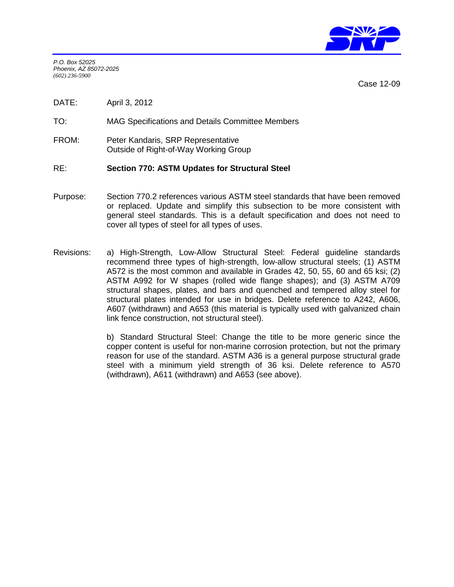

*P.O. Box 52025 Phoenix, AZ 85072-2025 (602) 236-5900*

Case 12-09

DATE: April 3, 2012

TO: MAG Specifications and Details Committee Members

FROM: Peter Kandaris, SRP Representative Outside of Right-of-Way Working Group

## RE: **Section 770: ASTM Updates for Structural Steel**

- Purpose: Section 770.2 references various ASTM steel standards that have been removed or replaced. Update and simplify this subsection to be more consistent with general steel standards. This is a default specification and does not need to cover all types of steel for all types of uses.
- Revisions: a) High-Strength, Low-Allow Structural Steel: Federal guideline standards recommend three types of high-strength, low-allow structural steels; (1) ASTM A572 is the most common and available in Grades 42, 50, 55, 60 and 65 ksi; (2) ASTM A992 for W shapes (rolled wide flange shapes); and (3) ASTM A709 structural shapes, plates, and bars and quenched and tempered alloy steel for structural plates intended for use in bridges. Delete reference to A242, A606, A607 (withdrawn) and A653 (this material is typically used with galvanized chain link fence construction, not structural steel).

b) Standard Structural Steel: Change the title to be more generic since the copper content is useful for non-marine corrosion protection, but not the primary reason for use of the standard. ASTM A36 is a general purpose structural grade steel with a minimum yield strength of 36 ksi. Delete reference to A570 (withdrawn), A611 (withdrawn) and A653 (see above).